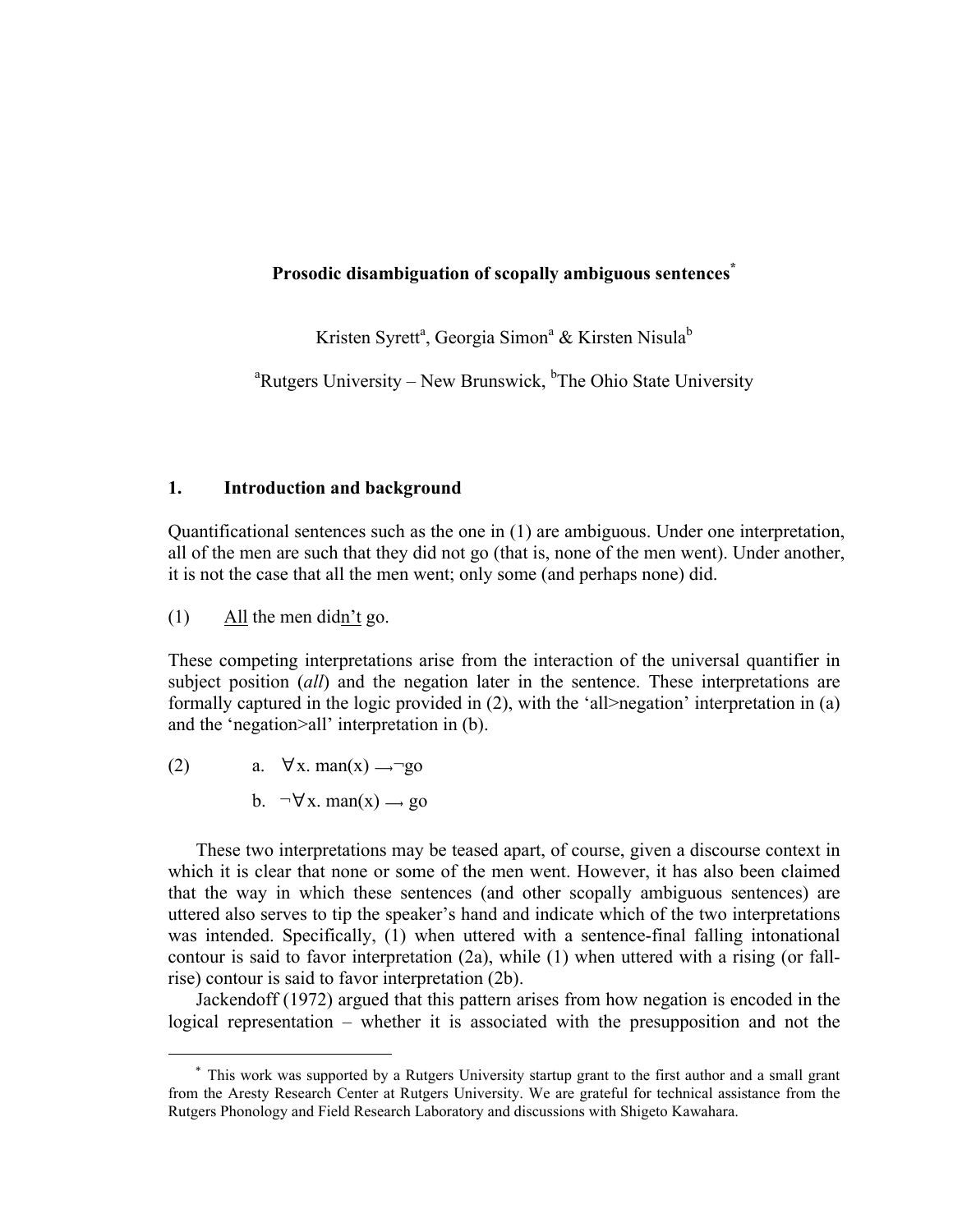### **Prosodic disambiguation of scopally ambiguous sentences\***

Kristen Syrett<sup>a</sup>, Georgia Simon<sup>a</sup> & Kirsten Nisula<sup>b</sup>

<sup>a</sup>Rutgers University – New Brunswick, <sup>b</sup>The Ohio State University

### **1. Introduction and background**

Quantificational sentences such as the one in (1) are ambiguous. Under one interpretation, all of the men are such that they did not go (that is, none of the men went). Under another, it is not the case that all the men went; only some (and perhaps none) did.

(1) All the men didn't go.

These competing interpretations arise from the interaction of the universal quantifier in subject position (*all*) and the negation later in the sentence. These interpretations are formally captured in the logic provided in (2), with the 'all>negation' interpretation in (a) and the 'negation>all' interpretation in (b).

(2) a.  $\forall x. \text{man}(x) \rightarrow \text{Top}$ 

!!!!!!!!!!!!!!!!!!!!!!!!!!!!!!!!!!!!!!!!!!!!!!!!!!!!!!!

b.  $\neg \forall x$ . man(x)  $\rightarrow$  go

These two interpretations may be teased apart, of course, given a discourse context in which it is clear that none or some of the men went. However, it has also been claimed that the way in which these sentences (and other scopally ambiguous sentences) are uttered also serves to tip the speaker's hand and indicate which of the two interpretations was intended. Specifically, (1) when uttered with a sentence-final falling intonational contour is said to favor interpretation (2a), while (1) when uttered with a rising (or fallrise) contour is said to favor interpretation (2b).

Jackendoff (1972) argued that this pattern arises from how negation is encoded in the logical representation – whether it is associated with the presupposition and not the

<sup>\*</sup> This work was supported by a Rutgers University startup grant to the first author and a small grant from the Aresty Research Center at Rutgers University. We are grateful for technical assistance from the Rutgers Phonology and Field Research Laboratory and discussions with Shigeto Kawahara.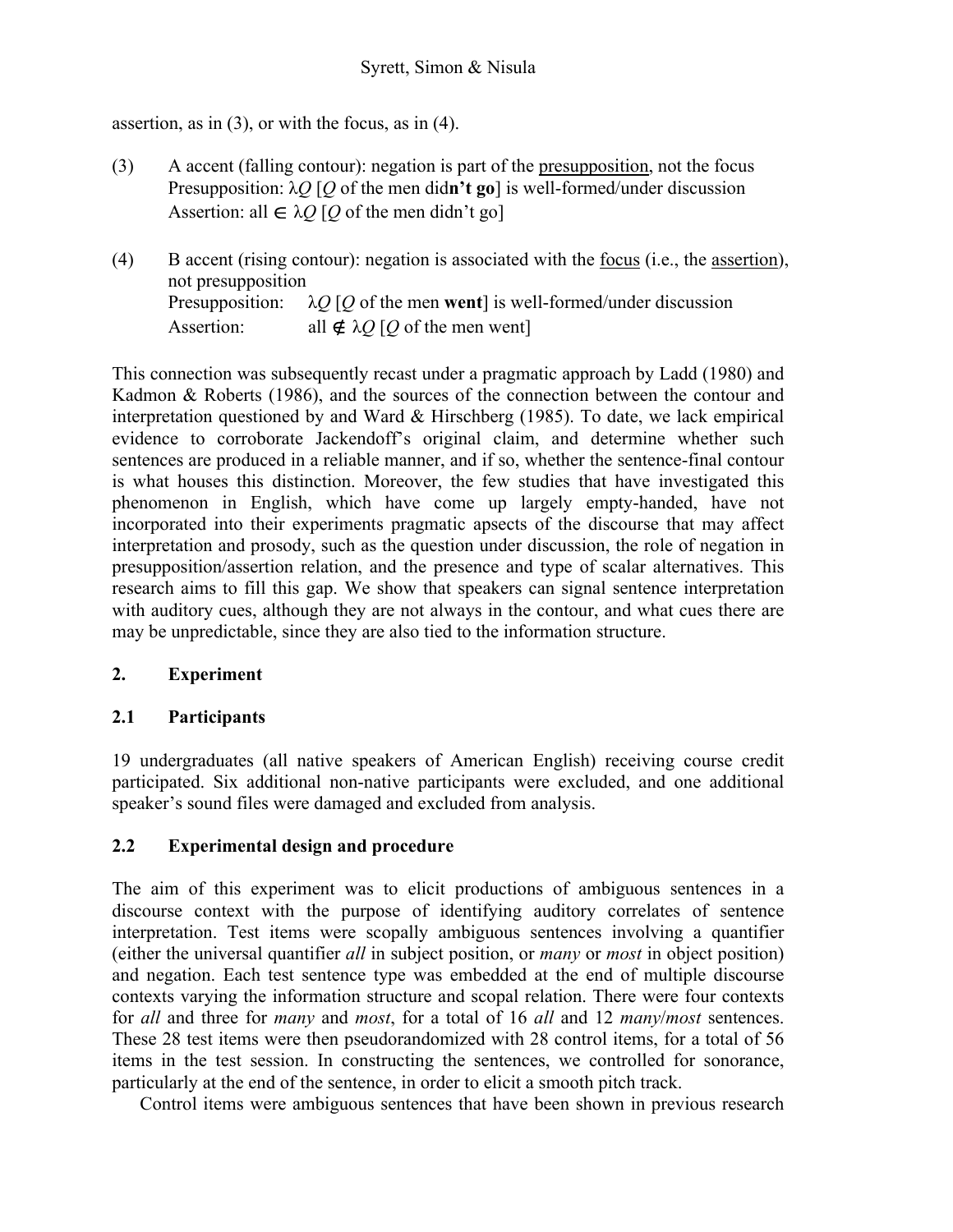assertion, as in  $(3)$ , or with the focus, as in  $(4)$ .

- (3) A accent (falling contour): negation is part of the presupposition, not the focus Presupposition: λ*Q* [*Q* of the men did**n't go**] is well-formed/under discussion Assertion: all  $\in \lambda Q$  [Q of the men didn't go]
- (4) B accent (rising contour): negation is associated with the focus (i.e., the assertion), not presupposition Presupposition:  $\lambda$ *Q* [*Q* of the men **went**] is well-formed/under discussion Assertion: all  $\notin \lambda O$  [*O* of the men went]

This connection was subsequently recast under a pragmatic approach by Ladd (1980) and Kadmon & Roberts (1986), and the sources of the connection between the contour and interpretation questioned by and Ward & Hirschberg (1985). To date, we lack empirical evidence to corroborate Jackendoff's original claim, and determine whether such sentences are produced in a reliable manner, and if so, whether the sentence-final contour is what houses this distinction. Moreover, the few studies that have investigated this phenomenon in English, which have come up largely empty-handed, have not incorporated into their experiments pragmatic apsects of the discourse that may affect interpretation and prosody, such as the question under discussion, the role of negation in presupposition/assertion relation, and the presence and type of scalar alternatives. This research aims to fill this gap. We show that speakers can signal sentence interpretation with auditory cues, although they are not always in the contour, and what cues there are may be unpredictable, since they are also tied to the information structure.

# **2. Experiment**

# **2.1 Participants**

19 undergraduates (all native speakers of American English) receiving course credit participated. Six additional non-native participants were excluded, and one additional speaker's sound files were damaged and excluded from analysis.

# **2.2 Experimental design and procedure**

The aim of this experiment was to elicit productions of ambiguous sentences in a discourse context with the purpose of identifying auditory correlates of sentence interpretation. Test items were scopally ambiguous sentences involving a quantifier (either the universal quantifier *all* in subject position, or *many* or *most* in object position) and negation. Each test sentence type was embedded at the end of multiple discourse contexts varying the information structure and scopal relation. There were four contexts for *all* and three for *many* and *most*, for a total of 16 *all* and 12 *many*/*most* sentences. These 28 test items were then pseudorandomized with 28 control items, for a total of 56 items in the test session. In constructing the sentences, we controlled for sonorance, particularly at the end of the sentence, in order to elicit a smooth pitch track.

Control items were ambiguous sentences that have been shown in previous research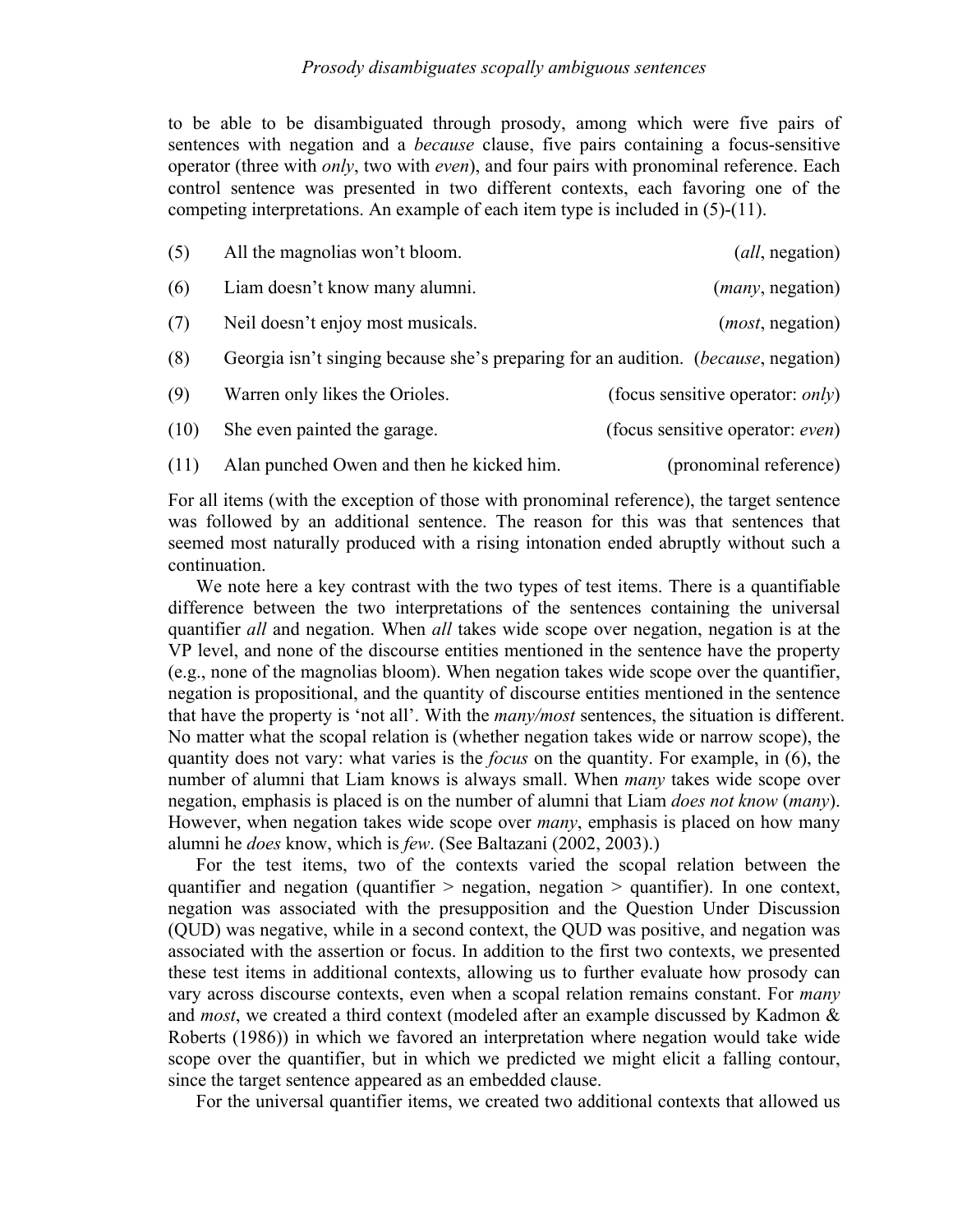### *Prosody disambiguates scopally ambiguous sentences*

to be able to be disambiguated through prosody, among which were five pairs of sentences with negation and a *because* clause, five pairs containing a focus-sensitive operator (three with *only*, two with *even*), and four pairs with pronominal reference. Each control sentence was presented in two different contexts, each favoring one of the competing interpretations. An example of each item type is included in  $(5)-(11)$ .

| (5)  | All the magnolias won't bloom.                                                            | ( <i>all</i> , negation)                 |
|------|-------------------------------------------------------------------------------------------|------------------------------------------|
| (6)  | Liam doesn't know many alumni.                                                            | ( <i>many</i> , negation)                |
| (7)  | Neil doesn't enjoy most musicals.                                                         | ( <i>most</i> , negation)                |
| (8)  | Georgia isn't singing because she's preparing for an audition. <i>(because, negation)</i> |                                          |
| (9)  | Warren only likes the Orioles.                                                            | (focus sensitive operator: <i>only</i> ) |
| (10) | She even painted the garage.                                                              | (focus sensitive operator: <i>even</i> ) |
| (11) | Alan punched Owen and then he kicked him.                                                 | (pronominal reference)                   |

For all items (with the exception of those with pronominal reference), the target sentence was followed by an additional sentence. The reason for this was that sentences that seemed most naturally produced with a rising intonation ended abruptly without such a continuation.

We note here a key contrast with the two types of test items. There is a quantifiable difference between the two interpretations of the sentences containing the universal quantifier *all* and negation. When *all* takes wide scope over negation, negation is at the VP level, and none of the discourse entities mentioned in the sentence have the property (e.g., none of the magnolias bloom). When negation takes wide scope over the quantifier, negation is propositional, and the quantity of discourse entities mentioned in the sentence that have the property is 'not all'. With the *many/most* sentences, the situation is different. No matter what the scopal relation is (whether negation takes wide or narrow scope), the quantity does not vary: what varies is the *focus* on the quantity. For example, in (6), the number of alumni that Liam knows is always small. When *many* takes wide scope over negation, emphasis is placed is on the number of alumni that Liam *does not know* (*many*). However, when negation takes wide scope over *many*, emphasis is placed on how many alumni he *does* know, which is *few*. (See Baltazani (2002, 2003).)

For the test items, two of the contexts varied the scopal relation between the quantifier and negation (quantifier > negation, negation > quantifier). In one context, negation was associated with the presupposition and the Question Under Discussion (QUD) was negative, while in a second context, the QUD was positive, and negation was associated with the assertion or focus. In addition to the first two contexts, we presented these test items in additional contexts, allowing us to further evaluate how prosody can vary across discourse contexts, even when a scopal relation remains constant. For *many* and *most*, we created a third context (modeled after an example discussed by Kadmon & Roberts (1986)) in which we favored an interpretation where negation would take wide scope over the quantifier, but in which we predicted we might elicit a falling contour, since the target sentence appeared as an embedded clause.

For the universal quantifier items, we created two additional contexts that allowed us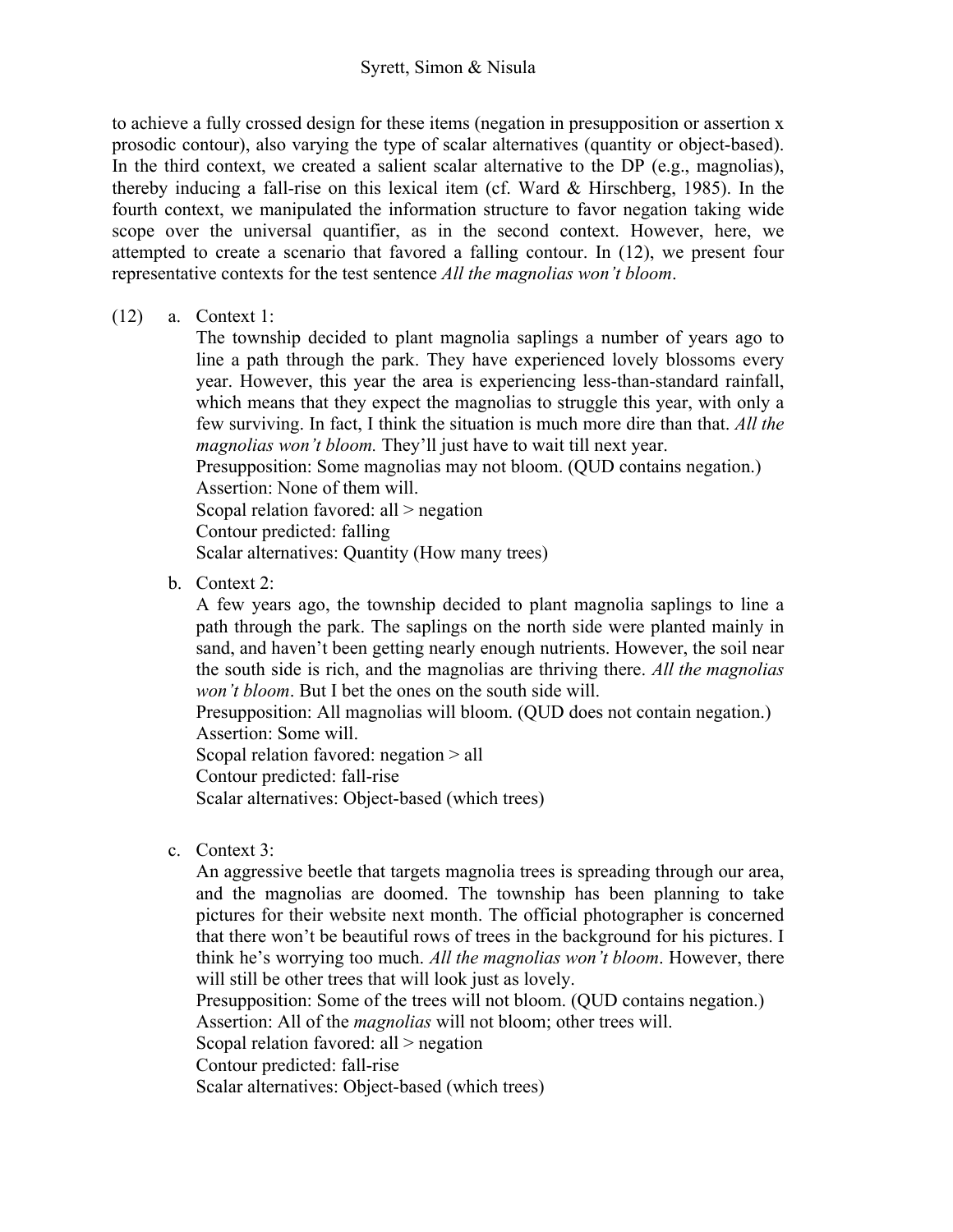### Syrett, Simon & Nisula

to achieve a fully crossed design for these items (negation in presupposition or assertion x prosodic contour), also varying the type of scalar alternatives (quantity or object-based). In the third context, we created a salient scalar alternative to the DP (e.g., magnolias), thereby inducing a fall-rise on this lexical item (cf. Ward & Hirschberg, 1985). In the fourth context, we manipulated the information structure to favor negation taking wide scope over the universal quantifier, as in the second context. However, here, we attempted to create a scenario that favored a falling contour. In (12), we present four representative contexts for the test sentence *All the magnolias won't bloom*.

(12) a. Context 1:

The township decided to plant magnolia saplings a number of years ago to line a path through the park. They have experienced lovely blossoms every year. However, this year the area is experiencing less-than-standard rainfall, which means that they expect the magnolias to struggle this year, with only a few surviving. In fact, I think the situation is much more dire than that. *All the magnolias won't bloom.* They'll just have to wait till next year.

Presupposition: Some magnolias may not bloom. (QUD contains negation.) Assertion: None of them will.

Scopal relation favored: all > negation

Contour predicted: falling

Scalar alternatives: Quantity (How many trees)

b. Context 2:

A few years ago, the township decided to plant magnolia saplings to line a path through the park. The saplings on the north side were planted mainly in sand, and haven't been getting nearly enough nutrients. However, the soil near the south side is rich, and the magnolias are thriving there. *All the magnolias won't bloom*. But I bet the ones on the south side will.

Presupposition: All magnolias will bloom. (QUD does not contain negation.) Assertion: Some will. Scopal relation favored: negation > all

Contour predicted: fall-rise

Scalar alternatives: Object-based (which trees)

c. Context 3:

An aggressive beetle that targets magnolia trees is spreading through our area, and the magnolias are doomed. The township has been planning to take pictures for their website next month. The official photographer is concerned that there won't be beautiful rows of trees in the background for his pictures. I think he's worrying too much. *All the magnolias won't bloom*. However, there will still be other trees that will look just as lovely.

Presupposition: Some of the trees will not bloom. (QUD contains negation.) Assertion: All of the *magnolias* will not bloom; other trees will. Scopal relation favored: all > negation

Contour predicted: fall-rise

Scalar alternatives: Object-based (which trees)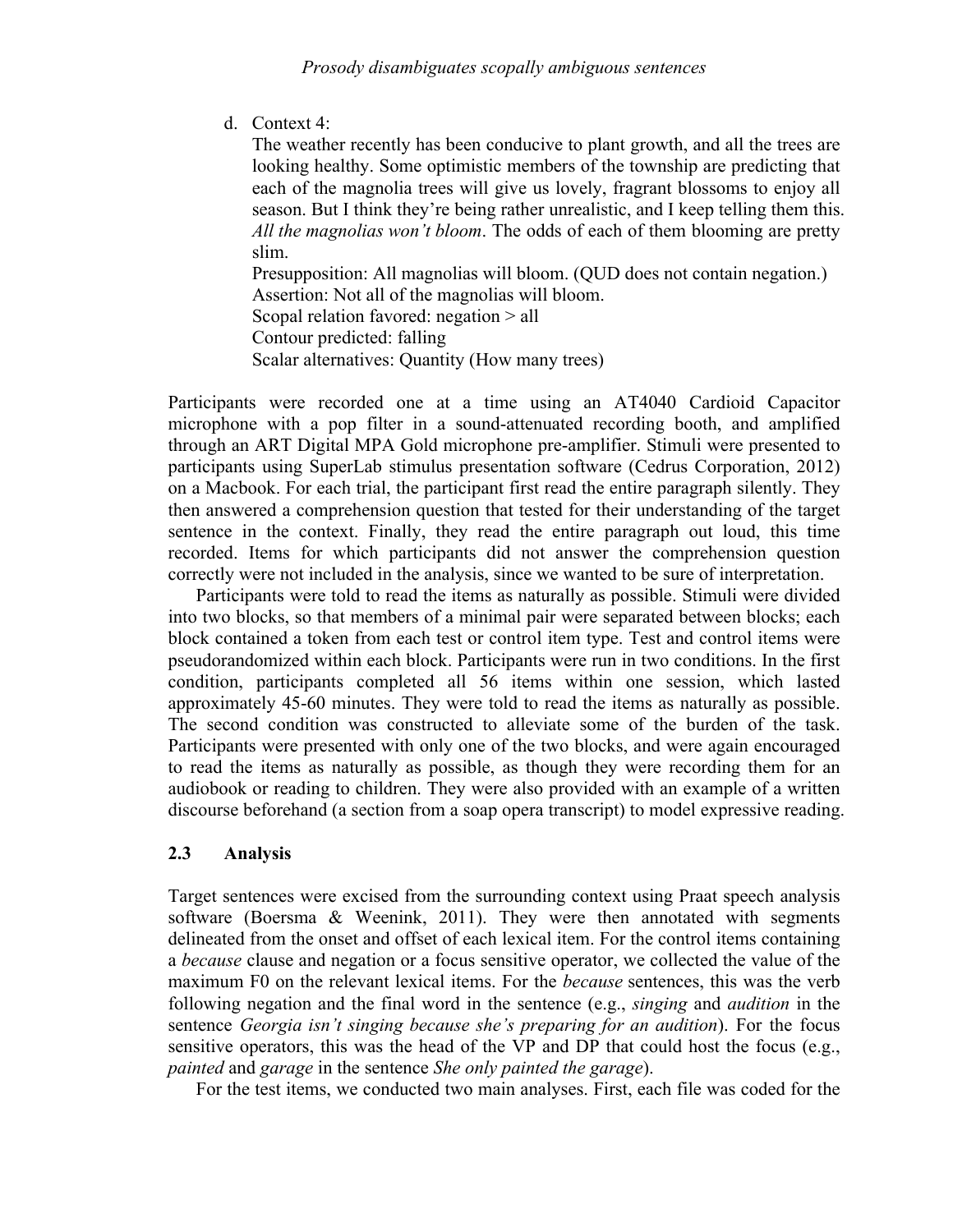d. Context 4:

The weather recently has been conducive to plant growth, and all the trees are looking healthy. Some optimistic members of the township are predicting that each of the magnolia trees will give us lovely, fragrant blossoms to enjoy all season. But I think they're being rather unrealistic, and I keep telling them this. *All the magnolias won't bloom*. The odds of each of them blooming are pretty slim.

Presupposition: All magnolias will bloom. (QUD does not contain negation.) Assertion: Not all of the magnolias will bloom.

Scopal relation favored: negation > all

Contour predicted: falling

Scalar alternatives: Quantity (How many trees)

Participants were recorded one at a time using an AT4040 Cardioid Capacitor microphone with a pop filter in a sound-attenuated recording booth, and amplified through an ART Digital MPA Gold microphone pre-amplifier. Stimuli were presented to participants using SuperLab stimulus presentation software (Cedrus Corporation, 2012) on a Macbook. For each trial, the participant first read the entire paragraph silently. They then answered a comprehension question that tested for their understanding of the target sentence in the context. Finally, they read the entire paragraph out loud, this time recorded. Items for which participants did not answer the comprehension question correctly were not included in the analysis, since we wanted to be sure of interpretation.

Participants were told to read the items as naturally as possible. Stimuli were divided into two blocks, so that members of a minimal pair were separated between blocks; each block contained a token from each test or control item type. Test and control items were pseudorandomized within each block. Participants were run in two conditions. In the first condition, participants completed all 56 items within one session, which lasted approximately 45-60 minutes. They were told to read the items as naturally as possible. The second condition was constructed to alleviate some of the burden of the task. Participants were presented with only one of the two blocks, and were again encouraged to read the items as naturally as possible, as though they were recording them for an audiobook or reading to children. They were also provided with an example of a written discourse beforehand (a section from a soap opera transcript) to model expressive reading.

## **2.3 Analysis**

Target sentences were excised from the surrounding context using Praat speech analysis software (Boersma & Weenink, 2011). They were then annotated with segments delineated from the onset and offset of each lexical item. For the control items containing a *because* clause and negation or a focus sensitive operator, we collected the value of the maximum F0 on the relevant lexical items. For the *because* sentences, this was the verb following negation and the final word in the sentence (e.g., *singing* and *audition* in the sentence *Georgia isn't singing because she's preparing for an audition*). For the focus sensitive operators, this was the head of the VP and DP that could host the focus (e.g., *painted* and *garage* in the sentence *She only painted the garage*).

For the test items, we conducted two main analyses. First, each file was coded for the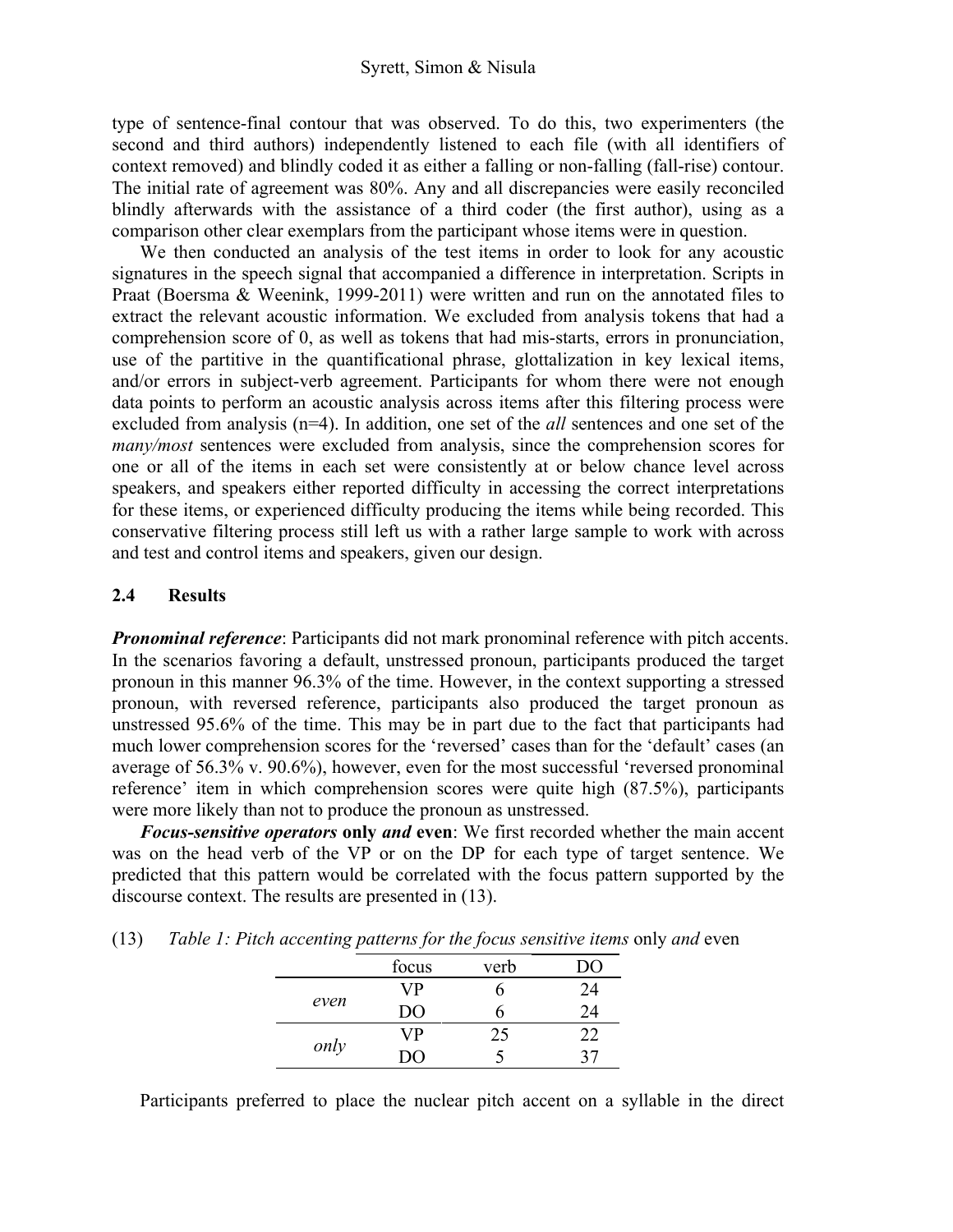### Syrett, Simon & Nisula

type of sentence-final contour that was observed. To do this, two experimenters (the second and third authors) independently listened to each file (with all identifiers of context removed) and blindly coded it as either a falling or non-falling (fall-rise) contour. The initial rate of agreement was 80%. Any and all discrepancies were easily reconciled blindly afterwards with the assistance of a third coder (the first author), using as a comparison other clear exemplars from the participant whose items were in question.

We then conducted an analysis of the test items in order to look for any acoustic signatures in the speech signal that accompanied a difference in interpretation. Scripts in Praat (Boersma & Weenink, 1999-2011) were written and run on the annotated files to extract the relevant acoustic information. We excluded from analysis tokens that had a comprehension score of 0, as well as tokens that had mis-starts, errors in pronunciation, use of the partitive in the quantificational phrase, glottalization in key lexical items, and/or errors in subject-verb agreement. Participants for whom there were not enough data points to perform an acoustic analysis across items after this filtering process were excluded from analysis (n=4). In addition, one set of the *all* sentences and one set of the *many/most* sentences were excluded from analysis, since the comprehension scores for one or all of the items in each set were consistently at or below chance level across speakers, and speakers either reported difficulty in accessing the correct interpretations for these items, or experienced difficulty producing the items while being recorded. This conservative filtering process still left us with a rather large sample to work with across and test and control items and speakers, given our design.

### **2.4 Results**

*Pronominal reference*: Participants did not mark pronominal reference with pitch accents. In the scenarios favoring a default, unstressed pronoun, participants produced the target pronoun in this manner 96.3% of the time. However, in the context supporting a stressed pronoun, with reversed reference, participants also produced the target pronoun as unstressed 95.6% of the time. This may be in part due to the fact that participants had much lower comprehension scores for the 'reversed' cases than for the 'default' cases (an average of 56.3% v. 90.6%), however, even for the most successful 'reversed pronominal reference' item in which comprehension scores were quite high (87.5%), participants were more likely than not to produce the pronoun as unstressed.

*Focus-sensitive operators* **only** *and* **even**: We first recorded whether the main accent was on the head verb of the VP or on the DP for each type of target sentence. We predicted that this pattern would be correlated with the focus pattern supported by the discourse context. The results are presented in (13).

|  |  | (13) Table 1: Pitch accenting patterns for the focus sensitive items only and even |  |
|--|--|------------------------------------------------------------------------------------|--|
|  |  |                                                                                    |  |

| - -  | . .   |      |    |
|------|-------|------|----|
|      | focus | verb | 70 |
|      | VP    | n    | 24 |
| even | DO    |      | 24 |
|      | VP    | 25   | 22 |
| only | ו זו  |      |    |

Participants preferred to place the nuclear pitch accent on a syllable in the direct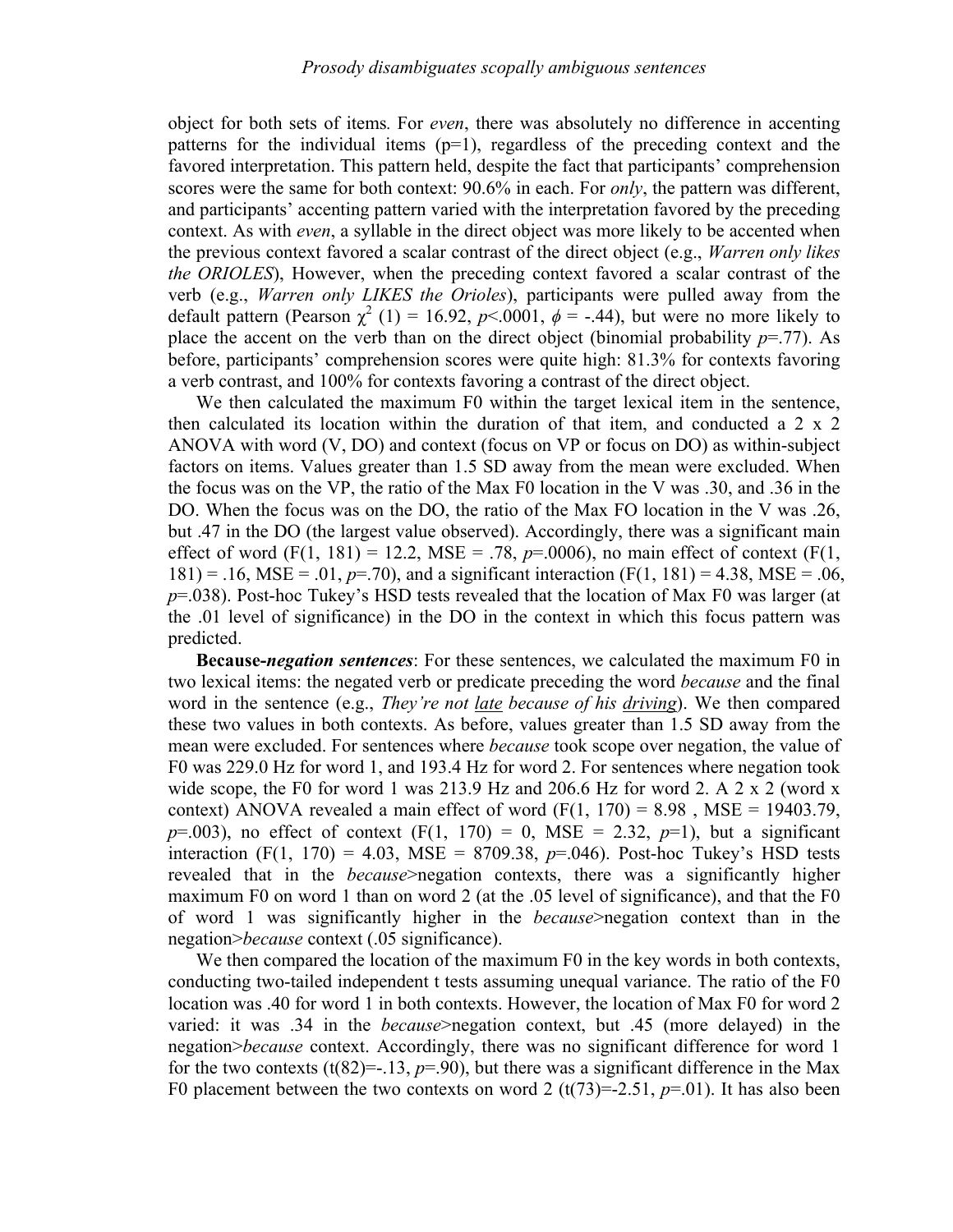object for both sets of items*.* For *even*, there was absolutely no difference in accenting patterns for the individual items  $(p=1)$ , regardless of the preceding context and the favored interpretation. This pattern held, despite the fact that participants' comprehension scores were the same for both context: 90.6% in each. For *only*, the pattern was different, and participants' accenting pattern varied with the interpretation favored by the preceding context. As with *even*, a syllable in the direct object was more likely to be accented when the previous context favored a scalar contrast of the direct object (e.g., *Warren only likes the ORIOLES*), However, when the preceding context favored a scalar contrast of the verb (e.g., *Warren only LIKES the Orioles*), participants were pulled away from the default pattern (Pearson  $\chi^2$  (1) = 16.92, *p*<.0001,  $\phi$  = -.44), but were no more likely to place the accent on the verb than on the direct object (binomial probability  $p=$ -77). As before, participants' comprehension scores were quite high: 81.3% for contexts favoring a verb contrast, and 100% for contexts favoring a contrast of the direct object.

We then calculated the maximum F0 within the target lexical item in the sentence, then calculated its location within the duration of that item, and conducted a 2 x 2 ANOVA with word (V, DO) and context (focus on VP or focus on DO) as within-subject factors on items. Values greater than 1.5 SD away from the mean were excluded. When the focus was on the VP, the ratio of the Max F0 location in the V was .30, and .36 in the DO. When the focus was on the DO, the ratio of the Max FO location in the V was .26, but .47 in the DO (the largest value observed). Accordingly, there was a significant main effect of word  $(F(1, 181) = 12.2, MSE = .78, p=.0006)$ , no main effect of context  $(F(1, 181) = 12.2, MSE = .78, p=.0006)$  $181$ ) = .16, MSE = .01,  $p=$ .70), and a significant interaction (F(1, 181) = 4.38, MSE = .06, *p*=.038). Post-hoc Tukey's HSD tests revealed that the location of Max F0 was larger (at the .01 level of significance) in the DO in the context in which this focus pattern was predicted.

**Because-***negation sentences*: For these sentences, we calculated the maximum F0 in two lexical items: the negated verb or predicate preceding the word *because* and the final word in the sentence (e.g., *They're not late because of his driving*). We then compared these two values in both contexts. As before, values greater than 1.5 SD away from the mean were excluded. For sentences where *because* took scope over negation, the value of F0 was 229.0 Hz for word 1, and 193.4 Hz for word 2. For sentences where negation took wide scope, the F0 for word 1 was  $213.9$  Hz and  $206.6$  Hz for word 2. A 2 x 2 (word x context) ANOVA revealed a main effect of word  $(F(1, 170) = 8.98$ , MSE = 19403.79,  $p=0.003$ ), no effect of context (F(1, 170) = 0, MSE = 2.32,  $p=1$ ), but a significant interaction  $(F(1, 170) = 4.03, MSE = 8709.38, p=.046)$ . Post-hoc Tukey's HSD tests revealed that in the *because*>negation contexts, there was a significantly higher maximum F0 on word 1 than on word 2 (at the .05 level of significance), and that the F0 of word 1 was significantly higher in the *because*>negation context than in the negation>*because* context (.05 significance).

We then compared the location of the maximum F0 in the key words in both contexts, conducting two-tailed independent t tests assuming unequal variance. The ratio of the F0 location was .40 for word 1 in both contexts. However, the location of Max F0 for word 2 varied: it was .34 in the *because*>negation context, but .45 (more delayed) in the negation>*because* context. Accordingly, there was no significant difference for word 1 for the two contexts  $(t(82)=13, p=0.90)$ , but there was a significant difference in the Max F0 placement between the two contexts on word 2  $(t(73)=2.51, p=01)$ . It has also been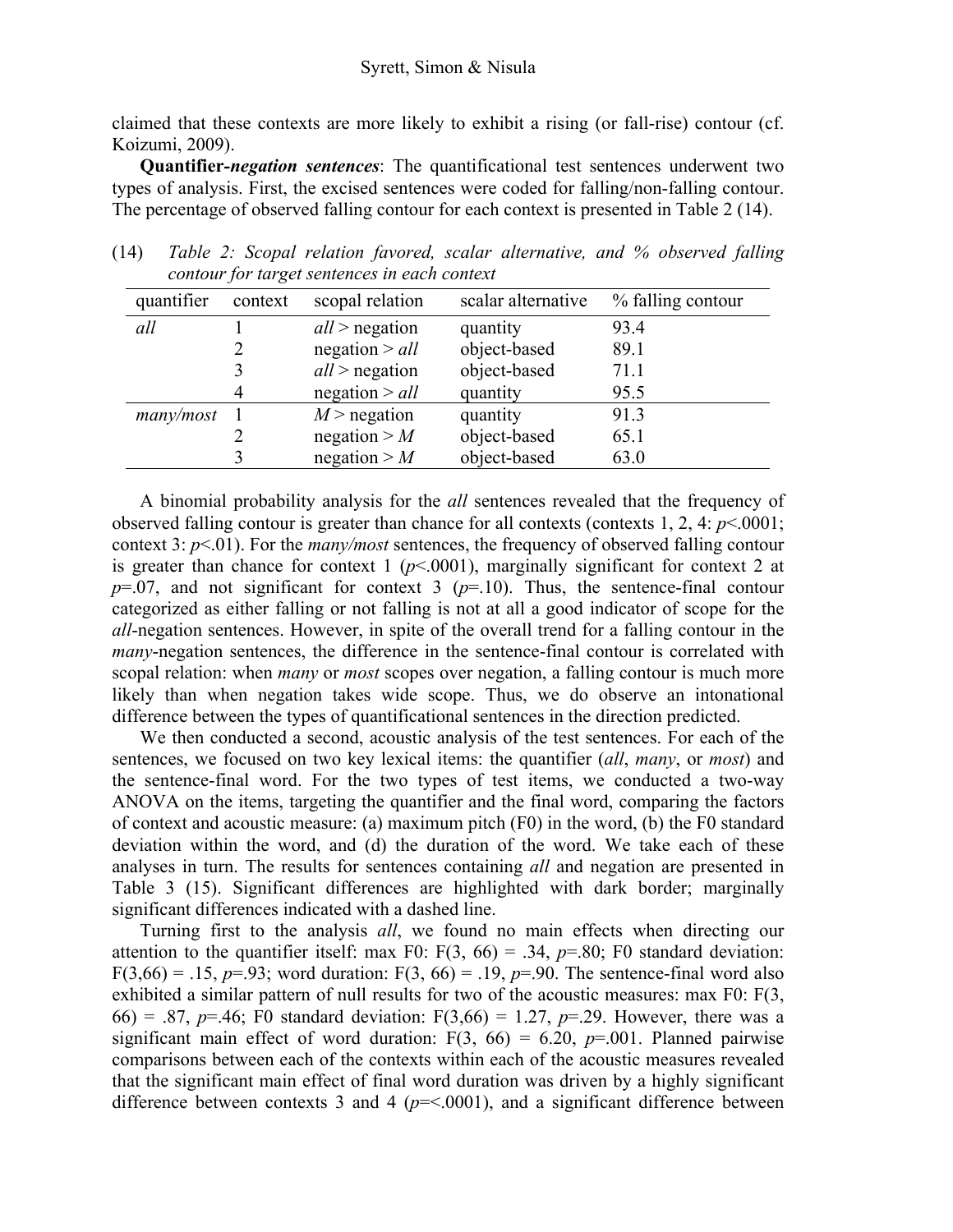claimed that these contexts are more likely to exhibit a rising (or fall-rise) contour (cf. Koizumi, 2009).

**Quantifier***-negation sentences*: The quantificational test sentences underwent two types of analysis. First, the excised sentences were coded for falling/non-falling contour. The percentage of observed falling contour for each context is presented in Table 2 (14).

| quantifier | context | scopal relation  | scalar alternative | % falling contour |
|------------|---------|------------------|--------------------|-------------------|
| all        |         | $all$ > negation | quantity           | 93.4              |
|            |         | negation $>$ all | object-based       | 89.1              |
|            |         | $all$ > negation | object-based       | 71.1              |
|            | 4       | negation $>$ all | quantity           | 95.5              |
| many/most  |         | $M >$ negation   | quantity           | 91.3              |
|            |         | negation $>$ M   | object-based       | 65.1              |
|            |         | negation $>$ M   | object-based       | 63.0              |

(14) *Table 2: Scopal relation favored, scalar alternative, and % observed falling contour for target sentences in each context*

A binomial probability analysis for the *all* sentences revealed that the frequency of observed falling contour is greater than chance for all contexts (contexts 1, 2, 4: *p*<.0001; context 3: *p*<.01). For the *many/most* sentences, the frequency of observed falling contour is greater than chance for context 1 ( $p$ <.0001), marginally significant for context 2 at  $p=0.07$ , and not significant for context 3 ( $p=10$ ). Thus, the sentence-final contour categorized as either falling or not falling is not at all a good indicator of scope for the *all*-negation sentences. However, in spite of the overall trend for a falling contour in the *many*-negation sentences, the difference in the sentence-final contour is correlated with scopal relation: when *many* or *most* scopes over negation, a falling contour is much more likely than when negation takes wide scope. Thus, we do observe an intonational difference between the types of quantificational sentences in the direction predicted.

We then conducted a second, acoustic analysis of the test sentences. For each of the sentences, we focused on two key lexical items: the quantifier (*all*, *many*, or *most*) and the sentence-final word. For the two types of test items, we conducted a two-way ANOVA on the items, targeting the quantifier and the final word, comparing the factors of context and acoustic measure: (a) maximum pitch (F0) in the word, (b) the F0 standard deviation within the word, and (d) the duration of the word. We take each of these analyses in turn. The results for sentences containing *all* and negation are presented in Table 3 (15). Significant differences are highlighted with dark border; marginally significant differences indicated with a dashed line.

Turning first to the analysis *all*, we found no main effects when directing our attention to the quantifier itself: max F0:  $F(3, 66) = .34$ ,  $p=.80$ ; F0 standard deviation: F(3,66) = .15,  $p=0.93$ ; word duration: F(3, 66) = .19,  $p=0.99$ . The sentence-final word also exhibited a similar pattern of null results for two of the acoustic measures: max F0: F(3, 66) = .87,  $p=46$ ; F0 standard deviation: F(3,66) = 1.27,  $p=.29$ . However, there was a significant main effect of word duration:  $F(3, 66) = 6.20$ ,  $p = .001$ . Planned pairwise comparisons between each of the contexts within each of the acoustic measures revealed that the significant main effect of final word duration was driven by a highly significant difference between contexts 3 and 4 ( $p = 0.0001$ ), and a significant difference between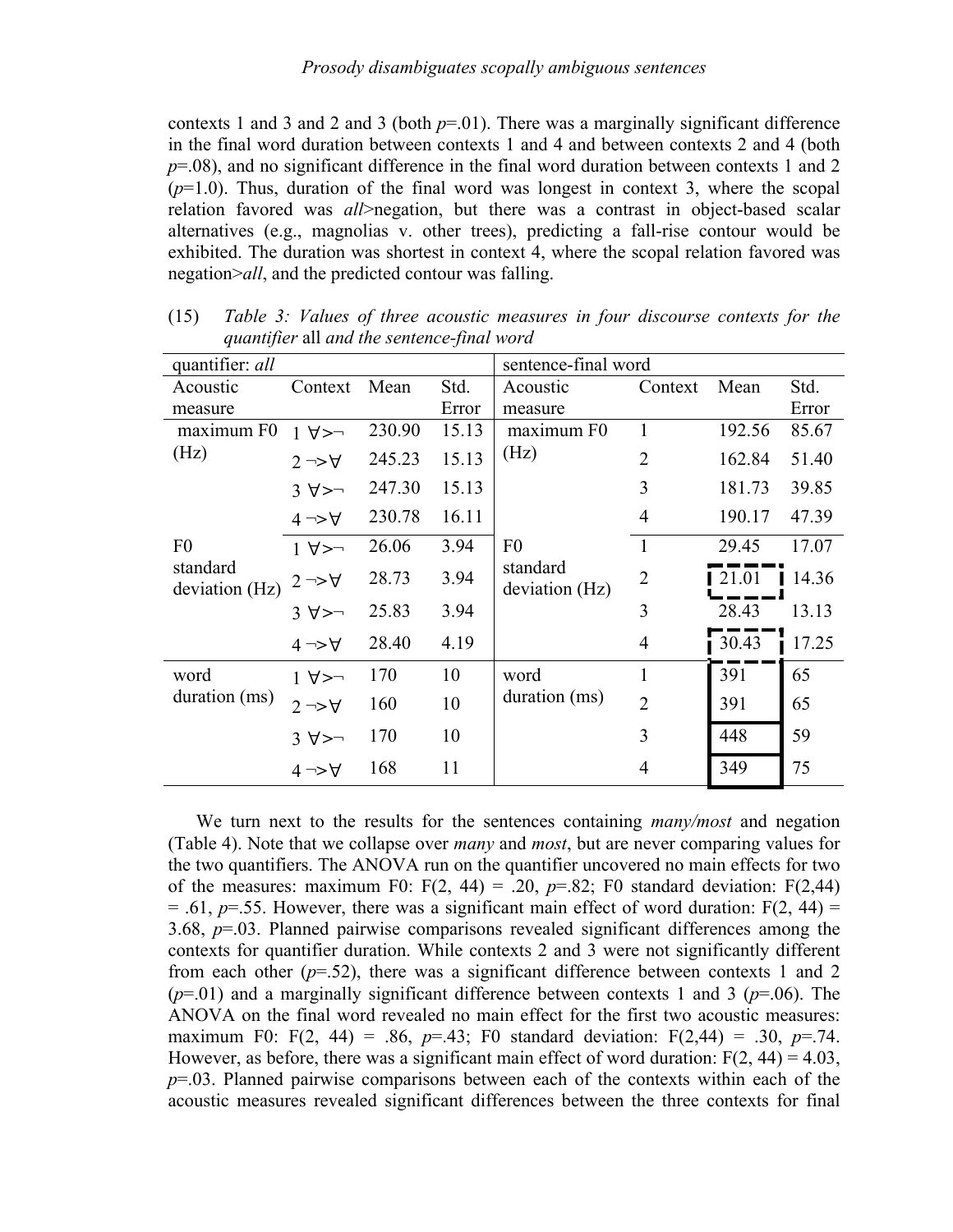contexts 1 and 3 and 2 and 3 (both  $p=01$ ). There was a marginally significant difference in the final word duration between contexts 1 and 4 and between contexts 2 and 4 (both *p*=.08), and no significant difference in the final word duration between contexts 1 and 2  $(p=1.0)$ . Thus, duration of the final word was longest in context 3, where the scopal relation favored was *all*>negation, but there was a contrast in object-based scalar alternatives (e.g., magnolias v. other trees), predicting a fall-rise contour would be exhibited. The duration was shortest in context 4, where the scopal relation favored was negation>*all*, and the predicted contour was falling.

| quantifier: all            |                                        |        |       | sentence-final word        |                |        |       |
|----------------------------|----------------------------------------|--------|-------|----------------------------|----------------|--------|-------|
| Acoustic                   | Context                                | Mean   | Std.  | Acoustic                   | Context        | Mean   | Std.  |
| measure                    |                                        |        | Error | measure                    |                |        | Error |
| maximum F0                 | $1 \blacktriangledown$                 | 230.90 | 15.13 | maximum F0<br>(Hz)         | 1              | 192.56 | 85.67 |
| (Hz)                       | $2 \rightarrow \forall$                | 245.23 | 15.13 |                            | $\overline{2}$ | 162.84 | 51.40 |
|                            | $3 \blacktriangledown$                 | 247.30 | 15.13 |                            | 3              | 181.73 | 39.85 |
|                            | $4 \rightarrow \forall$                | 230.78 | 16.11 |                            | $\overline{4}$ | 190.17 | 47.39 |
| F <sub>0</sub>             | $1 \blacktriangleright\rightarrow\neg$ | 26.06  | 3.94  | F <sub>0</sub>             | 1              | 29.45  | 17.07 |
| standard<br>deviation (Hz) | $2 \rightarrow \forall$                | 28.73  | 3.94  | standard<br>deviation (Hz) | $\overline{2}$ | 21.01  | 14.36 |
|                            | $3 \blacktriangledown$                 | 25.83  | 3.94  |                            | 3              | 28.43  | 13.13 |
|                            | $4 \rightarrow \forall$                | 28.40  | 4.19  |                            | $\overline{4}$ | 30.43  | 17.25 |
| word                       | $1 \blacktriangleright\rightarrow\neg$ | 170    | 10    | word<br>duration (ms)      | 1              | 391    | 65    |
| duration (ms)              | $2 \rightarrow \forall$                | 160    | 10    |                            | $\overline{2}$ | 391    | 65    |
|                            | 3 ∀>¬                                  | 170    | 10    |                            | 3              | 448    | 59    |
|                            | $4 \rightarrow \forall$                | 168    | 11    |                            | 4              | 349    | 75    |
|                            |                                        |        |       |                            |                |        |       |

(15) *Table 3: Values of three acoustic measures in four discourse contexts for the quantifier* all *and the sentence-final word* 

We turn next to the results for the sentences containing *many/most* and negation (Table 4). Note that we collapse over *many* and *most*, but are never comparing values for the two quantifiers. The ANOVA run on the quantifier uncovered no main effects for two of the measures: maximum F0:  $F(2, 44) = .20$ ,  $p=.82$ ; F0 standard deviation:  $F(2,44)$  $=$  .61,  $p=$  .55. However, there was a significant main effect of word duration:  $F(2, 44) =$ 3.68, *p*=.03. Planned pairwise comparisons revealed significant differences among the contexts for quantifier duration. While contexts 2 and 3 were not significantly different from each other  $(p=0.52)$ , there was a significant difference between contexts 1 and 2  $(p=01)$  and a marginally significant difference between contexts 1 and 3 ( $p=06$ ). The ANOVA on the final word revealed no main effect for the first two acoustic measures: maximum F0: F(2, 44) = .86,  $p=43$ ; F0 standard deviation: F(2,44) = .30,  $p=.74$ . However, as before, there was a significant main effect of word duration:  $F(2, 44) = 4.03$ , *p*=.03. Planned pairwise comparisons between each of the contexts within each of the acoustic measures revealed significant differences between the three contexts for final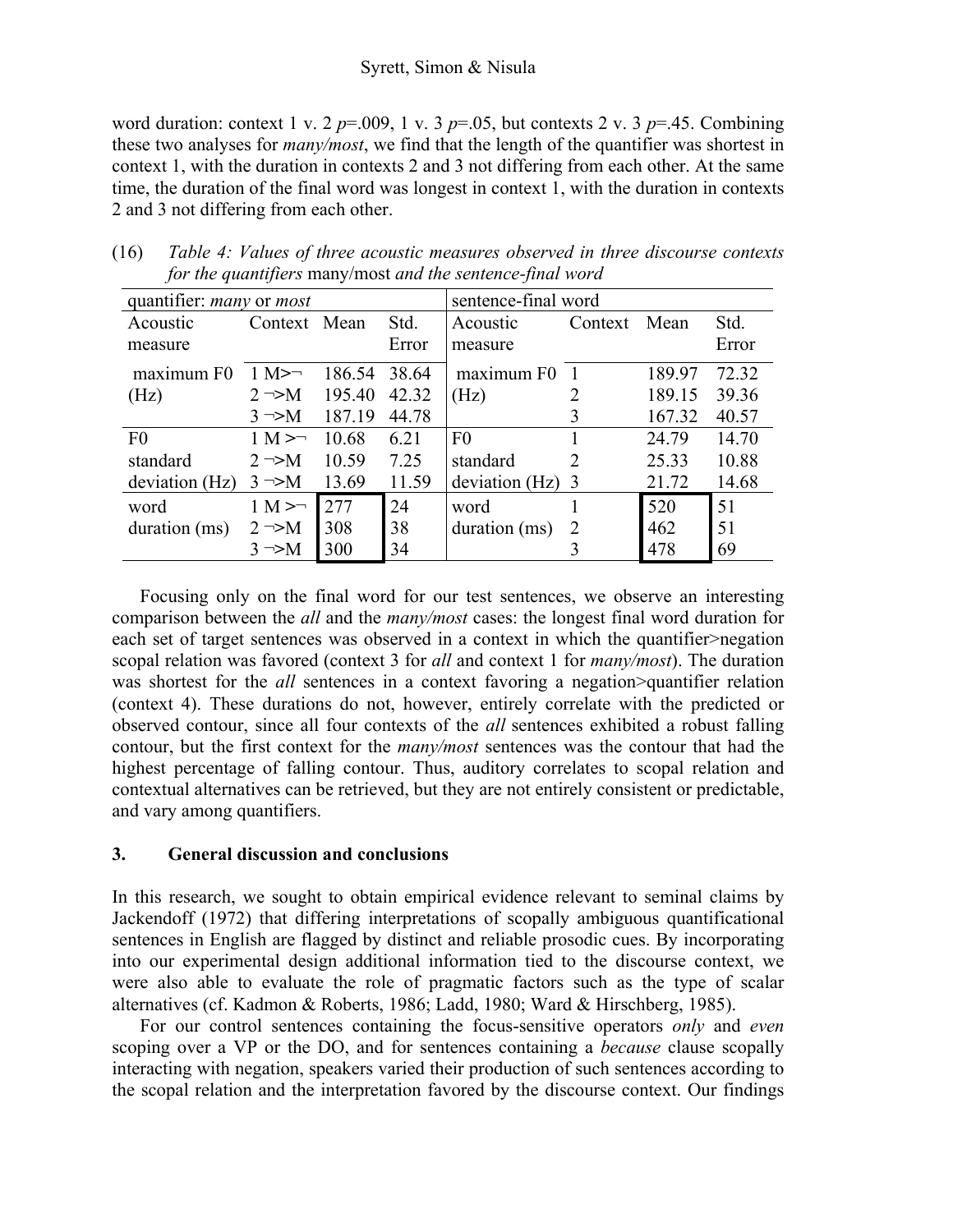### Syrett, Simon & Nisula

word duration: context 1 v. 2  $p=0.009$ , 1 v. 3  $p=.05$ , but contexts 2 v. 3  $p=.45$ . Combining these two analyses for *many/most*, we find that the length of the quantifier was shortest in context 1, with the duration in contexts 2 and 3 not differing from each other. At the same time, the duration of the final word was longest in context 1, with the duration in contexts 2 and 3 not differing from each other.

| quantifier: <i>many</i> or <i>most</i> |                        |        |       | sentence-final word |               |        |       |
|----------------------------------------|------------------------|--------|-------|---------------------|---------------|--------|-------|
| Acoustic                               | Context Mean           |        | Std.  | Acoustic            | Context       | Mean   | Std.  |
| measure                                |                        |        | Error | measure             |               |        | Error |
| maximum F0                             | $1 M \rightarrow \neg$ | 186.54 | 38.64 | maximum F0          |               | 189.97 | 72.32 |
| (Hz)                                   | $2 \rightarrow M$      | 195.40 | 42.32 | (Hz)                |               | 189.15 | 39.36 |
|                                        | $3 \rightarrow M$      | 187.19 | 44.78 |                     | 3             | 167.32 | 40.57 |
| F <sub>0</sub>                         | $1 M > \neg$           | 10.68  | 6.21  | F <sub>0</sub>      |               | 24.79  | 14.70 |
| standard                               | $2 \rightarrow M$      | 10.59  | 7.25  | standard            | $\mathcal{D}$ | 25.33  | 10.88 |
| deviation (Hz)                         | $3 \rightarrow M$      | 13.69  | 11.59 | deviation $(Hz)$ 3  |               | 21.72  | 14.68 |
| word                                   | $1 M > \neg$           | 277    | 24    | word                |               | 520    | 51    |
| duration (ms)                          | $2 \rightarrow M$      | 308    | 38    | duration (ms)       | 2             | 462    | 51    |
|                                        | $3 \rightarrow M$      | 300    | 34    |                     |               | 478    | 69    |

(16) *Table 4: Values of three acoustic measures observed in three discourse contexts for the quantifiers* many/most *and the sentence-final word* 

Focusing only on the final word for our test sentences, we observe an interesting comparison between the *all* and the *many/most* cases: the longest final word duration for each set of target sentences was observed in a context in which the quantifier>negation scopal relation was favored (context 3 for *all* and context 1 for *many/most*). The duration was shortest for the *all* sentences in a context favoring a negation>quantifier relation (context 4). These durations do not, however, entirely correlate with the predicted or observed contour, since all four contexts of the *all* sentences exhibited a robust falling contour, but the first context for the *many/most* sentences was the contour that had the highest percentage of falling contour. Thus, auditory correlates to scopal relation and contextual alternatives can be retrieved, but they are not entirely consistent or predictable, and vary among quantifiers.

### **3. General discussion and conclusions**

In this research, we sought to obtain empirical evidence relevant to seminal claims by Jackendoff (1972) that differing interpretations of scopally ambiguous quantificational sentences in English are flagged by distinct and reliable prosodic cues. By incorporating into our experimental design additional information tied to the discourse context, we were also able to evaluate the role of pragmatic factors such as the type of scalar alternatives (cf. Kadmon & Roberts, 1986; Ladd, 1980; Ward & Hirschberg, 1985).

For our control sentences containing the focus-sensitive operators *only* and *even* scoping over a VP or the DO, and for sentences containing a *because* clause scopally interacting with negation, speakers varied their production of such sentences according to the scopal relation and the interpretation favored by the discourse context. Our findings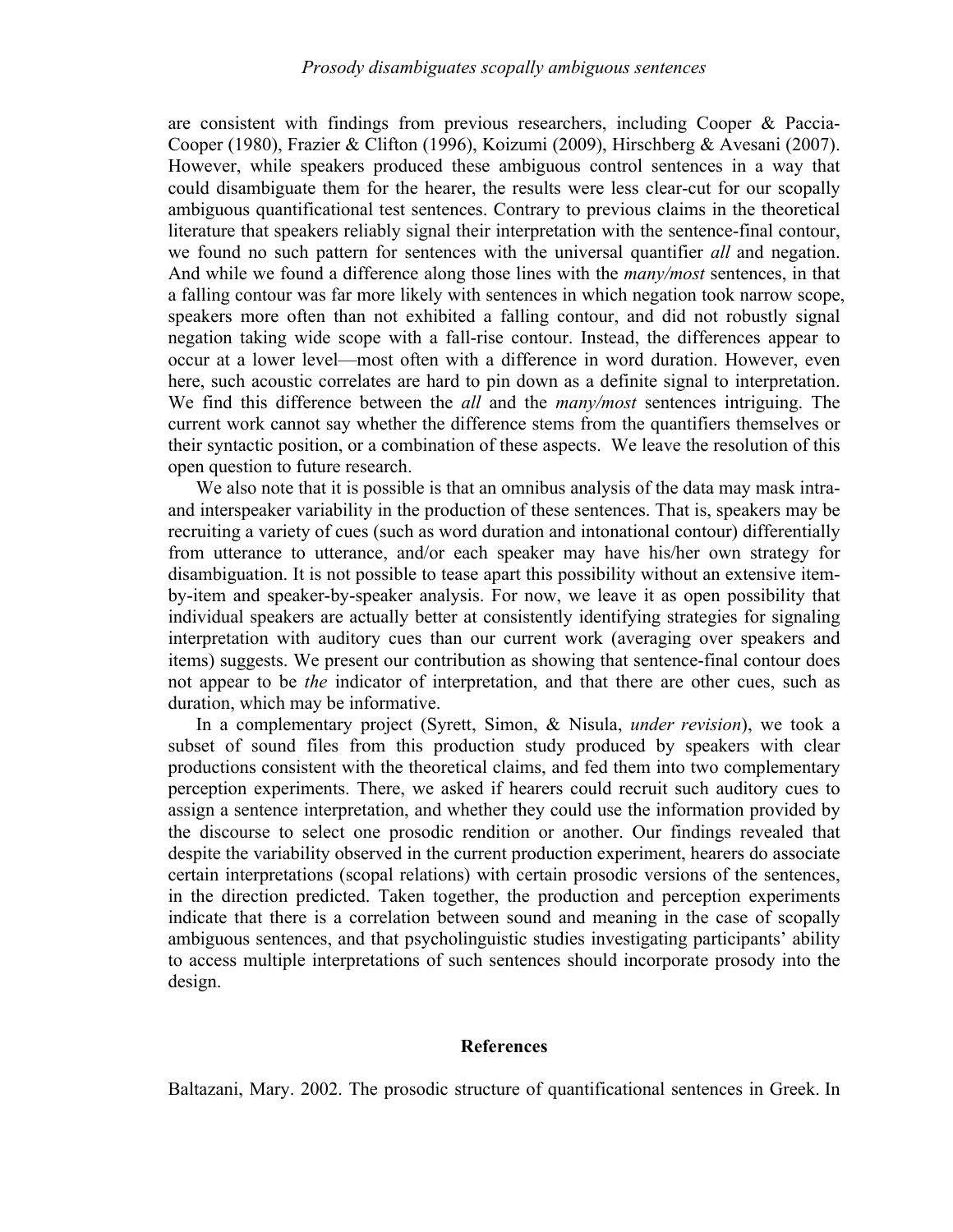are consistent with findings from previous researchers, including Cooper & Paccia-Cooper (1980), Frazier & Clifton (1996), Koizumi (2009), Hirschberg & Avesani (2007). However, while speakers produced these ambiguous control sentences in a way that could disambiguate them for the hearer, the results were less clear-cut for our scopally ambiguous quantificational test sentences. Contrary to previous claims in the theoretical literature that speakers reliably signal their interpretation with the sentence-final contour, we found no such pattern for sentences with the universal quantifier *all* and negation. And while we found a difference along those lines with the *many/most* sentences, in that a falling contour was far more likely with sentences in which negation took narrow scope, speakers more often than not exhibited a falling contour, and did not robustly signal negation taking wide scope with a fall-rise contour. Instead, the differences appear to occur at a lower level—most often with a difference in word duration. However, even here, such acoustic correlates are hard to pin down as a definite signal to interpretation. We find this difference between the *all* and the *many/most* sentences intriguing. The current work cannot say whether the difference stems from the quantifiers themselves or their syntactic position, or a combination of these aspects. We leave the resolution of this open question to future research.

We also note that it is possible is that an omnibus analysis of the data may mask intraand interspeaker variability in the production of these sentences. That is, speakers may be recruiting a variety of cues (such as word duration and intonational contour) differentially from utterance to utterance, and/or each speaker may have his/her own strategy for disambiguation. It is not possible to tease apart this possibility without an extensive itemby-item and speaker-by-speaker analysis. For now, we leave it as open possibility that individual speakers are actually better at consistently identifying strategies for signaling interpretation with auditory cues than our current work (averaging over speakers and items) suggests. We present our contribution as showing that sentence-final contour does not appear to be *the* indicator of interpretation, and that there are other cues, such as duration, which may be informative.

In a complementary project (Syrett, Simon, & Nisula, *under revision*), we took a subset of sound files from this production study produced by speakers with clear productions consistent with the theoretical claims, and fed them into two complementary perception experiments. There, we asked if hearers could recruit such auditory cues to assign a sentence interpretation, and whether they could use the information provided by the discourse to select one prosodic rendition or another. Our findings revealed that despite the variability observed in the current production experiment, hearers do associate certain interpretations (scopal relations) with certain prosodic versions of the sentences, in the direction predicted. Taken together, the production and perception experiments indicate that there is a correlation between sound and meaning in the case of scopally ambiguous sentences, and that psycholinguistic studies investigating participants' ability to access multiple interpretations of such sentences should incorporate prosody into the design.

#### **References**

Baltazani, Mary. 2002. The prosodic structure of quantificational sentences in Greek. In